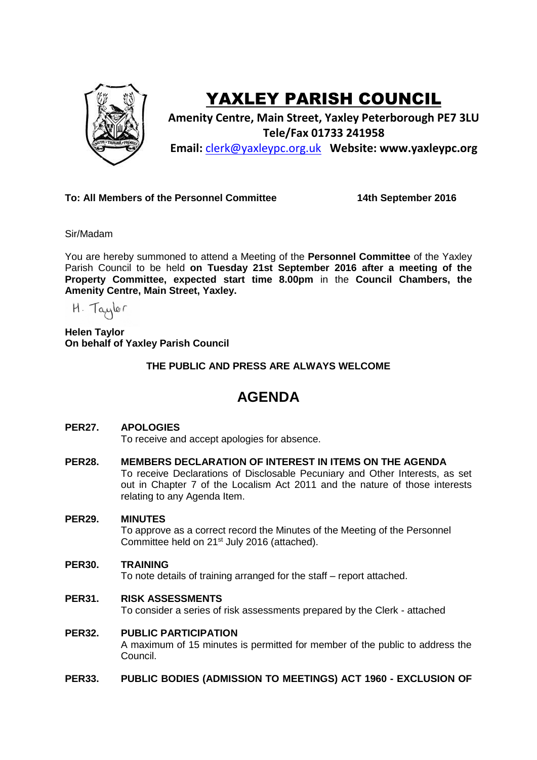

# YAXLEY PARISH COUNCIL

**Amenity Centre, Main Street, Yaxley Peterborough PE7 3LU Tele/Fax 01733 241958 Email:** [clerk@yaxleypc.org.uk](mailto:clerk@yaxleypc.org.uk) **Website: www.yaxleypc.org**

## **To: All Members of the Personnel Committee 14th September 2016**

Sir/Madam

You are hereby summoned to attend a Meeting of the **Personnel Committee** of the Yaxley Parish Council to be held **on Tuesday 21st September 2016 after a meeting of the Property Committee, expected start time 8.00pm** in the **Council Chambers, the Amenity Centre, Main Street, Yaxley.**

 $H.$  Taylor

**Helen Taylor On behalf of Yaxley Parish Council**

**THE PUBLIC AND PRESS ARE ALWAYS WELCOME**

## **AGENDA**

## **PER27. APOLOGIES**

To receive and accept apologies for absence.

**PER28. MEMBERS DECLARATION OF INTEREST IN ITEMS ON THE AGENDA** To receive Declarations of Disclosable Pecuniary and Other Interests, as set out in Chapter 7 of the Localism Act 2011 and the nature of those interests relating to any Agenda Item.

#### **PER29. MINUTES**

To approve as a correct record the Minutes of the Meeting of the Personnel Committee held on 21<sup>st</sup> July 2016 (attached).

#### **PER30. TRAINING**

To note details of training arranged for the staff – report attached.

**PER31. RISK ASSESSMENTS**

To consider a series of risk assessments prepared by the Clerk - attached

**PER32. PUBLIC PARTICIPATION**

> A maximum of 15 minutes is permitted for member of the public to address the Council.

**PER33. PUBLIC BODIES (ADMISSION TO MEETINGS) ACT 1960 - EXCLUSION OF**